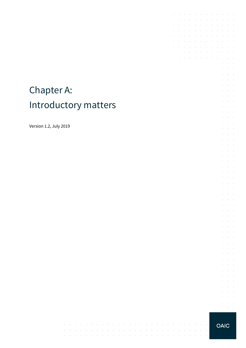# Chapter A: Introductory matters

 $\cdot$ 

 $\epsilon$ 

 $\sim$  $\sim$  $\sim$ 

 $\sim$  $\sim$  $\sim$  $\sim$  10  $\mu$   $\sim$ 

 $\sim$  $\sim$  $\sim 10^{-10}$  km

 $\sim$   $\sim$ 

 $\Delta\phi=0.1$ 

 $\sim$  $\sim$ 

 $\mathcal{L}^{\text{max}}$ 

 $\sim$ 

 $\sim$ 

 $\sim$  $\sim$ 

 $\mathcal{A}^{\mathcal{A}}$  and  $\mathcal{A}^{\mathcal{A}}$  and  $\mathcal{A}^{\mathcal{A}}$ 

 $\mathcal{A}^{\mathcal{A}}$  and  $\mathcal{A}^{\mathcal{A}}$  $\sim 10$ 

Version 1.2, July 2019

**OAIC** 

 $\sim$ 

 $\sim$  $\sim$  $\sim$ 

 $\sim$ 

 $\sim 10^{-1}$  $\mathcal{L}^{\text{max}}$  $\sim$   $\sim$ 

 $\sim 10^{-1}$ 

 $\sim 10^{-11}$  km

 $\sim$ 

and the contract of the con-

 $\mathcal{A}^{\mathcal{A}}$  , and  $\mathcal{A}^{\mathcal{A}}$  , and  $\mathcal{A}^{\mathcal{A}}$  , and  $\mathcal{A}^{\mathcal{A}}$ 

 $\sim$ 

 $\bar{z}$ 

÷.  $\sim 10^{-1}$  .  $\mathcal{L}^{\text{max}}$  and  $\mathcal{L}^{\text{max}}$ t,  $\bar{z}$  $\bar{z}$  $\omega_{\rm{max}}$ 

 $\mathcal{L}^{\mathcal{L}}$  $\Delta \sim 100$ 

 $\bar{z}$  $\alpha$  and  $\alpha$ 

 $\sim$  $\mathcal{L}^{\text{max}}$  .

à.  $\sim$ J.  $\mathcal{L}^{\text{max}}$ and a state  $\mathcal{L}$  $\epsilon$  $\sim$ 

 $\bar{z}$  $\sim$  $\sim 10^{-1}$  .

 $\epsilon$  $\alpha$  ,  $\beta$  ,  $\alpha$ 

 $\mathcal{L}^{\pm}$  $\mathcal{L}^{\text{max}}$ 

 $\mathcal{L}$  $\sim$  $\sim$ 

 $\sim$  $\alpha$  and  $\alpha$ 

à.  $\mathcal{L}^{\text{max}}$ 

t,

 $\sim$  $\sim 10^{-10}$  km

 $\mathcal{L}_{\mathcal{A}}$  $\Delta\sim 100$ 

 $\bar{z}$  $\bar{z}$  $\mathcal{L}$  $\Delta \sim 100$ 

 $\mathcal{L}^{\text{max}}$  $\mathcal{L}^{\text{max}}$ 

 $\mathcal{L}$  $\mathcal{L}^{\text{max}}$ 

 $\sim$  $\sim 10^{-10}$  km  $\bar{z}$  $\mathcal{L}$  $\omega_{\rm{max}}$ 

V.  $\alpha$  and  $\alpha$ 

 $\hat{\mathcal{A}}$  $\sim 10^{-11}$ 

 $\sim$  $\sim 10^{-1}$  . ÷,

 $\bar{z}$  $\sim$  $\mathcal{L}$  $\sim$ 

 $\mathcal{L}$  $\mathcal{L}$  $\mathcal{L}$  $\sim$  $\alpha = \alpha - \beta$  $\alpha$  ,  $\alpha$  ,  $\alpha$ 

÷,

 $\sim 10^{-1}$  $\sim$  $\mathcal{L}^{\text{max}}$  and  $\mathcal{L}^{\text{max}}$  $\epsilon$  $\bar{z}$ 

 $\mathcal{A}$  and  $\mathcal{A}$  is a set of the set of  $\mathcal{A}$  . Then

 $\sim$  $\sim$  $\bar{z}$ 

 $\mathcal{L}^{\mathcal{A}}$  . The contribution of the contribution of  $\mathcal{L}^{\mathcal{A}}$ 

and a state of the

 $\mathcal{L}^{\text{max}}$ 

 $\mathcal{L}^{\text{max}}$ 

÷.  $\sim$ 

 $\mathcal{L}$  $\bar{z}$ 

 $\bar{z}$ 

 $\sim$  $\bar{z}$  $\mathcal{L}_{\mathcal{A}}$  $\sim$ 

> $\bar{z}$  $\mathcal{L}$  $\mathcal{L}^{\text{max}}$  $\sim$  $\sim$  $\sim$  $\bar{z}$

 $\sim$ 

 $\epsilon$ 

J.  $\mathcal{L}^{\text{max}}$ 

 $\epsilon$  $\sim$ 

t.  $\mathcal{L}_{\mathcal{A}}$  $\mathcal{L}_{\mathcal{A}}$  $\sim$  $\bar{z}$  $\sim$  $\sim$  $\mathcal{L}$  $\sim$  $\mathcal{A}$ 

t,  $\mathcal{L}$  $\sim$  $\sim$  $\bar{z}$  $\sim$  $\sim$  $\mathcal{L}$  $\mathcal{L}_{\mathcal{A}}$  $\mathcal{L}_{\mathcal{A}}$ 

J.

 $\sim$ 

 $\mathcal{L}$  $\bar{z}$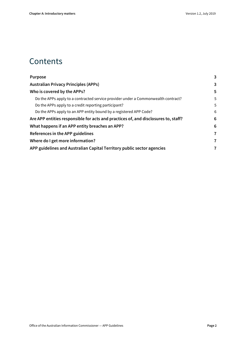### **Contents**

| <b>Purpose</b>                                                                     | 3 |
|------------------------------------------------------------------------------------|---|
| <b>Australian Privacy Principles (APPs)</b>                                        | 3 |
| Who is covered by the APPs?                                                        | 5 |
| Do the APPs apply to a contracted service provider under a Commonwealth contract?  | 5 |
| Do the APPs apply to a credit reporting participant?                               | 5 |
| Do the APPs apply to an APP entity bound by a registered APP Code?                 | 6 |
| Are APP entities responsible for acts and practices of, and disclosures to, staff? | 6 |
| What happens if an APP entity breaches an APP?                                     | 6 |
| References in the APP guidelines                                                   | 7 |
| Where do I get more information?                                                   | 7 |
| APP guidelines and Australian Capital Territory public sector agencies             | 7 |
|                                                                                    |   |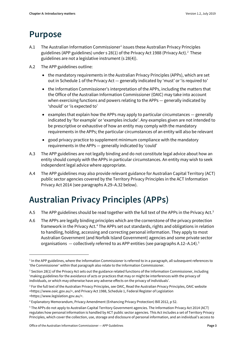### <span id="page-2-0"></span>**Purpose**

1

- A.[1](#page-2-2) The Australian Information Commissioner<sup>1</sup> issues these Australian Privacy Principles guidelines (APP guidelines) under s 28(1) of the Privacy Act 1988 (Privacy Act). [2](#page-2-3) These guidelines are not a legislative instrument (s 28(4)).
- <span id="page-2-7"></span>A.2 The APP guidelines outline:
	- the mandatory requirements in the Australian Privacy Principles (APPs), which are set out in Schedule 1 of the Privacy Act — generally indicated by 'must' or 'is required to'
	- the Information Commissioner's interpretation of the APPs, including the matters that the Office of the Australian Information Commissioner (OAIC) may take into account when exercising functions and powers relating to the APPs — generally indicated by 'should' or 'is expected to'
	- examples that explain how the APPs may apply to particular circumstances  $-$  generally indicated by 'for example' or 'examples include'. Any examples given are not intended to be prescriptive or exhaustive of how an entity may comply with the mandatory requirements in the APPs; the particular circumstances of an entity will also be relevant
	- good privacy practice to supplement minimum compliance with the mandatory requirements in the APPs — generally indicated by 'could'
- A.3 The APP guidelines are not legally binding and do not constitute legal advice about how an entity should comply with the APPs in particular circumstances. An entity may wish to seek independent legal advice where appropriate.
- A.4 The APP guidelines may also provide relevant guidance for Australian Capital Territory (ACT) public sector agencies covered by the Territory Privacy Principles in the ACT Information Privacy Act 2014 (see paragraphs A.29–A.32 below).

# <span id="page-2-1"></span>**Australian Privacy Principles (APPs)**

- A.5 The APP guidelines should be read together with the full text of the APPs in the Privacy Act.<sup>[3](#page-2-4)</sup>
- A.6 The APPs are legally binding principles which are the cornerstone of the privacy protection framework in the Privacy Act.<sup>[4](#page-2-5)</sup> The APPs set out standards, rights and obligations in relation to handling, holding, accessing and correcting personal information. They apply to most Australian Government (and Norfolk Island Government) agencies and some private sector organisations  $-$  collectively referred to as APP entities (see paragraph[s A.12](#page-4-3)-A.14).<sup>[5](#page-2-6)</sup>

<span id="page-2-2"></span> $1$  In the APP guidelines, where the Information Commissioner is referred to in a paragraph, all subsequent references to 'the Commissioner' within that paragraph also relate to the Information Commissioner.

<span id="page-2-3"></span><sup>&</sup>lt;sup>2</sup> Section 28(1) of the Privacy Act sets out the guidance related functions of the Information Commissioner, including 'making guidelines for the avoidance of acts or practices that may or might be interferences with the privacy of individuals, or which may otherwise have any adverse effects on the privacy of individuals'.

<span id="page-2-4"></span><sup>&</sup>lt;sup>3</sup> For the full text of the Australian Privacy Principles, see OAIC, Read the Australian Privacy Principles, OAIC website <https://www.oaic.gov.au/>, and Privacy Act 1988, Schedule 1, Federal Register of Legislation <https://www.legislation.gov.au/>.

<span id="page-2-5"></span><sup>4</sup> Explanatory Memorandum, Privacy Amendment (Enhancing Privacy Protection) Bill 2012, p 52.

<span id="page-2-6"></span><sup>5</sup> The APPs do not apply to Australian Capital Territory Government agencies. The Information Privacy Act 2014 (ACT) regulates how personal information is handled by ACT public sector agencies. This Act includes a set of Territory Privacy Principles, which cover the collection, use, storage and disclosure of personal information, and an individual's access to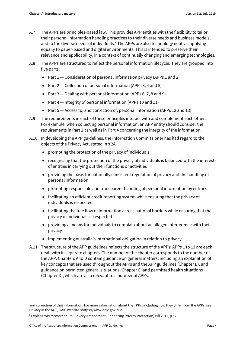- A.7 The APPs are principles-based law. This provides APP entities with the flexibility to tailor their personal information handling practices to their diverse needs and business models, and to the diverse needs of individuals.<sup>[6](#page-3-0)</sup> The APPs are also technology neutral, applying equally to paper-based and digital environments. This is intended to preserve their relevance and applicability, in a context of continually changing and emerging technologies.
- A.8 The APPs are structured to reflect the personal information lifecycle. They are grouped into five parts:
	- Part  $1$  Consideration of personal information privacy (APPs 1 and 2)
	- Part 2 Collection of personal information (APPs 3, 4 and 5)
	- Part  $3$  Dealing with personal information (APPs 6, 7, 8 and 9)
	- Part 4 Integrity of personal information (APPs 10 and 11)
	- Part 5 Access to, and correction of, personal information (APPs 12 and 13)
- A.9 The requirements in each of these principles interact with and complement each other. For example, when collecting personal information, an APP entity should consider the requirements in Part 2 as well as in Part 4 concerning the integrity of the information.
- A.10 In developing the APP guidelines, the Information Commissioner has had regard to the objects of the Privacy Act, stated in s 2A:
	- promoting the protection of the privacy of individuals
	- recognising that the protection of the privacy of individuals is balanced with the interests of entities in carrying out their functions or activities
	- providing the basis for nationally consistent regulation of privacy and the handling of personal information
	- promoting responsible and transparent handling of personal information by entities
	- facilitating an efficient credit reporting system while ensuring that the privacy of individuals is respected
	- facilitating the free flow of information across national borders while ensuring that the privacy of individuals is respected
	- providing a means for individuals to complain about an alleged interference with their privacy
	- implementing Australia's international obligation in relation to privacy
- A.11 The structure of the APP guidelines reflects the structure of the APPs: APPs 1 to 13 are each dealt with in separate chapters. The number of the chapter corresponds to the number of the APP. Chapters A to D contain guidance on general matters, including an explanation of key concepts that are used throughout the APPs and the APP guidelines (Chapter B), and guidance on permitted general situations (Chapter C) and permitted health situations (Chapter D), which are also relevant to a number of APPs.

**.** 

and correction of that information. For more information about the TPPs, including how they differ from the APPs, see Privacy in the ACT, OAIC website <https://www.oaic.gov.au>.

<span id="page-3-0"></span><sup>6</sup> Explanatory Memorandum, Privacy Amendment (Enhancing Privacy Protection) Bill 2012, p 52.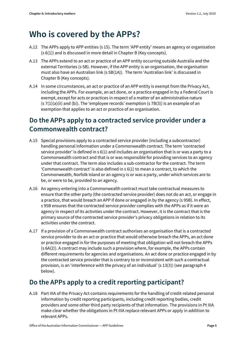### <span id="page-4-0"></span>**Who is covered by the APPs?**

- <span id="page-4-3"></span>A.12 The APPs apply to APP entities (s 15). The term 'APP entity' means an agency or organisation (s 6(1)) and is discussed in more detail in Chapter B (Key concepts).
- A.13 The APPs extend to an act or practice of an APP entity occurring outside Australia and the external Territories (s 5B). However, if the APP entity is an organisation, the organisation must also have an Australian link (s 5B(1A)). The term 'Australian link' is discussed in Chapter B (Key concepts).
- A.14 In some circumstances, an act or practice of an APP entity is exempt from the Privacy Act, including the APPs. For example, an act done, or a practice engaged in by a Federal Court is exempt, except for acts or practices in respect of a matter of an administrative nature  $(s 7(1)(a)(ii)$  and  $(b))$ . The 'employee records' exemption  $(s 7B(3))$  is an example of an exemption that applies to an act or practice of an organisation.

#### <span id="page-4-4"></span><span id="page-4-1"></span>**Do the APPs apply to a contracted service provider under a Commonwealth contract?**

- A.15 Special provisions apply to a contracted service provider (including a subcontractor) handling personal information under a Commonwealth contract. The term 'contracted service provider' is defined in s 6(1) and includes an organisation that is or was a party to a Commonwealth contract and that is or was responsible for providing services to an agency under that contract. The term also includes a sub-contractor for the contract. The term 'Commonwealth contract' is also defined in s 6(1) to mean a contract, to which the Commonwealth, Norfolk Island or an agency is or was a party, under which services are to be, or were to be, provided to an agency.
- A.16 An agency entering into a Commonwealth contract must take contractual measures to ensure that the other party (the contracted service provider) does not do an act, or engage in a practice, that would breach an APP if done or engaged in by the agency (s 95B). In effect, s 95B ensures that the contracted service provider complies with the APPs as if it were an agency in respect of its activities under the contract. However, it is the contract that is the primary source of the contracted service provider's privacy obligations in relation to its activities under the contract.
- A.17 If a provision of a Commonwealth contract authorises an organisation that is a contracted service provider to do an act or practice that would otherwise breach the APPs, an act done or practice engaged in for the purposes of meeting that obligation will not breach the APPs (s 6A(2)). A contract may include such a provision where, for example, the APPs contain different requirements for agencies and organisations. An act done or practice engaged in by the contracted service provider that is contrary to or inconsistent with such a contractual provision, is an 'interference with the privacy of an individual' (s 13(3)) (see paragraph 4 below).

#### <span id="page-4-2"></span>**Do the APPs apply to a credit reporting participant?**

A.18 Part IIIA of the Privacy Act contains requirements for the handling of credit-related personal information by credit reporting participants, including credit reporting bodies, credit providers and some other third party recipients of that information. The provisions in Pt IIIA make clear whether the obligations in Pt IIIA replace relevant APPs or apply in addition to relevant APPs.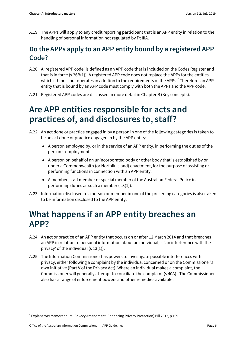A.19 The APPs will apply to any credit reporting participant that is an APP entity in relation to the handling of personal information not regulated by Pt IIIA.

#### <span id="page-5-0"></span>**Do the APPs apply to an APP entity bound by a registered APP Code?**

- A.20 A 'registered APP code' is defined as an APP code that is included on the Codes Register and that is in force (s 26B(1)). A registered APP code does not replace the APPs for the entities which it binds, but operates in addition to the requirements of the APPs.<sup>[7](#page-5-3)</sup> Therefore, an APP entity that is bound by an APP code must comply with both the APPs and the APP code.
- A.21 Registered APP codes are discussed in more detail in Chapter B (Key concepts).

## <span id="page-5-1"></span>**Are APP entities responsible for acts and practices of, and disclosures to, staff?**

- A.22 An act done or practice engaged in by a person in one of the following categories is taken to be an act done or practice engaged in by the APP entity:
	- A person employed by, or in the service of an APP entity, in performing the duties of the person's employment.
	- A person on behalf of an unincorporated body or other body that is established by or under a Commonwealth (or Norfolk Island) enactment, for the purpose of assisting or performing functions in connection with an APP entity.
	- A member, staff member or special member of the Australian Federal Police in performing duties as such a member (s 8(1)).
- A.23 Information disclosed to a person or member in one of the preceding categories is also taken to be information disclosed to the APP entity.

### <span id="page-5-2"></span>**What happens if an APP entity breaches an APP?**

- A.24 An act or practice of an APP entity that occurs on or after 12 March 2014 and that breaches an APP in relation to personal information about an individual, is 'an interference with the privacy' of the individual (s 13(1)).
- A.25 The Information Commissioner has powers to investigate possible interferences with privacy, either following a complaint by the individual concerned or on the Commissioner's own initiative (Part V of the Privacy Act). Where an individual makes a complaint, the Commissioner will generally attempt to conciliate the complaint (s 40A). The Commissioner also has a range of enforcement powers and other remedies available.

1

<span id="page-5-3"></span><sup>7</sup> Explanatory Memorandum, Privacy Amendment (Enhancing Privacy Protection) Bill 2012, p 199.